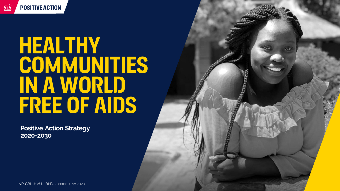

# **Healthy COMMUNITIES IN A WORLD free of AiDS**

**Positive Action Strategy 2020-2030**

NP-GBL-HVU-LBND-200002 June 2020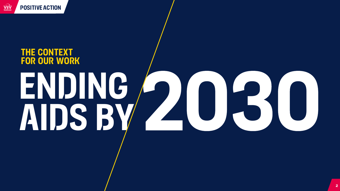

# **the context for our work ending aids by**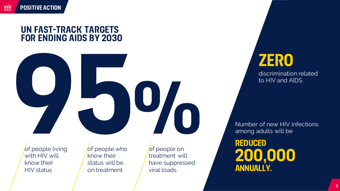#### **un fast-track targets for ending aids by 2030**



**of people living** with HIV will know their HIV status

of people who know their status will be on treatment

of people on treatment will have suppressed viral loads

# **zero**

discrimination related to HIV and AIDS.

Number of new HIV infections among adults will be

**reduced 200,000 annually.**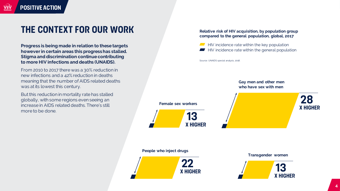**Progress is being made in relation to these targets however in certain areas this progress has stalled. Stigma and discrimination continue contributing to more HIV infections and deaths (UNAIDS).**

From 2010 to 2017 there was a 30% reduction in new infections and a 42% reduction in deaths meaning that the number of AIDS related deaths was at its lowest this century.

But this reduction in mortality rate has stalled globally, with some regions even seeing an increase in AIDS related deaths. There's still more to be done.

#### **Relative risk of HIV acquisition, by population group compared to the general population, global, 2017**

 $\blacksquare$  HIV incidence rate within the key population  $\blacksquare$  HIV incidence rate within the general population

Source: UNAIDS special analysis, 2018.



#### **People who inject drugs**



**Transgender women**

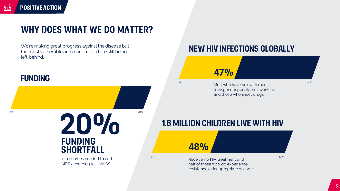## **why does what we do matter?**

We're making great progress against the disease but the most vulnerable and marginalised are still being left behind.

#### **funding**

 $0\%$  100% **20% funding shortfall**

> in resources needed to end AIDS according to UNAIDS.

#### **new HiV infections globally**

#### **47%**

 $\sim$ <sup>0%</sup> 100% Men who have sex with men,  $\sim$ transgender people, sex workers, and those who inject drugs

#### **1.8 million children live with hiv**

o with the contract of the Receive no HIV treatment and the contract of the contract of  $^{100\%}$ half of those who do experience resistance or inappropriate dosage.

**48%**

**5**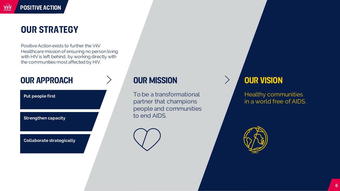# **our strategy**

Positive Action exists to further the ViiV Healthcare mission of ensuring no person living with HIV is left behind, by working directly with the communities most affected by HIV.

## **Our approach**

**Put people first**

**Strengthen capacity**

**Collaborate strategically**

#### **our mission**

To be a transformational partner that champions people and communities to end AIDS.



#### **our vision**

 $\left\langle \right\rangle$ 

Healthy communities in a world free of AIDS.

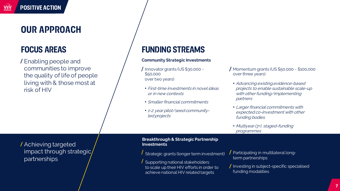## **our approach**

### **focus areas**

Enabling people and communities to improve the quality of life of people living with & those most at risk of HIV

#### **funding streams**

#### **Community Strategic Investments**

- $\int$  Innovator grants (US \$30,000 -\$50,000 over two years)
	- First-time investments in novel ideas or in new contexts
	- Smaller financial commitments
	- 1-2 year pilot/seed communityled projects
- Momentum grants (US \$50,000 \$100,000 over three years)
	- Advancing existing,evidence-based projects to enable sustainable scale-up with other funding/implementing partners
	- Larger financial commitments with expected co-investment with other funding bodies
	- Multiyear (3+), staged-funding programmes

Achieving targeted impact through strategic partnerships

**Breakthrough & Strategic Partnership Investments**

Strategic grants (longer term investment)

- Supporting national stakeholders to scale up their HIV efforts in order to achieve national HIV related targets
- Participating in multilateral longterm partnerships
- $\big/$  Investing in subject-specific specialised funding modalities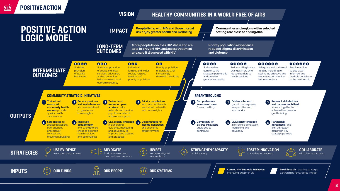

**8**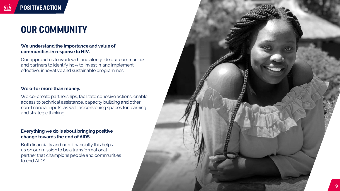**positive action**

#### **We understand the importance and value of communities in response to HIV.**

Our approach is to work with and alongside our communities and partners to identify how to invest in and implement effective, innovative and sustainable programmes.

#### **We offer more than money.**

We co -create partnerships, facilitate cohesive actions, enable access to technical assistance, capacity building and other non -financial inputs, as well as convening spaces for learning and strategic thinking.

#### **Everything we do is about bringing positive change towards the end of AIDS.**

Both financially and non -financially this helps us on our mission to be a transformational partner that champions people and communities to end AIDS.

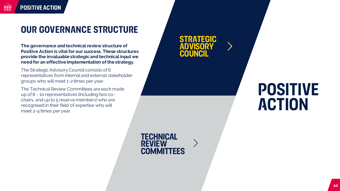## **Our governance structure**

**The governance and technical review structure of Positive Action is vital for our success. These structures provide the invaluable strategic and technical input we need for an effective implementation of the strategy.**

The Strategic Advisory Council consists of 6 representatives from internal and external stakeholder groups who will meet 1-2 times per year.

The Technical Review Committees are each made up of 8 - 10 representatives (including two cochairs, and up to 5 reserve members) who are recognised in their field of expertise who will meet 2-4 times per year.

**Strategic advisory council**

# **Positive action**

**technical review committees**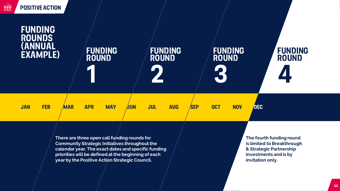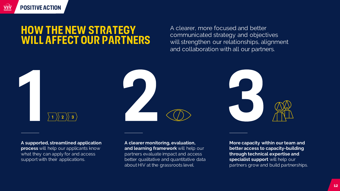# **How the new strategy will affect our partners**

A clearer, more focused and better communicated strategy and objectives will strengthen our relationships, alignment and collaboration with all our partners.



**A supported, streamlined application process** will help our applicants know what they can apply for and access support with their applications.

**positive action**

ViiV

**A clearer monitoring, evaluation, and learning framework** will help our partners evaluate impact and access better qualitative and quantitative data about HIV at the grassroots level.

**More capacity within our team and better access to capacity-building through technical expertise and specialist support** will help our partners grow and build partnerships.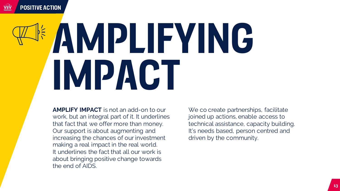# **amplifying impact**

**AMPLIFY IMPACT** is not an add-on to our work, but an integral part of it. It underlines that fact that we offer more than money. Our support is about augmenting and increasing the chances of our investment making a real impact in the real world. It underlines the fact that all our work is about bringing positive change towards the end of AIDS.

We co create partnerships, facilitate joined up actions, enable access to technical assistance, capacity building. It's needs based, person centred and driven by the community.